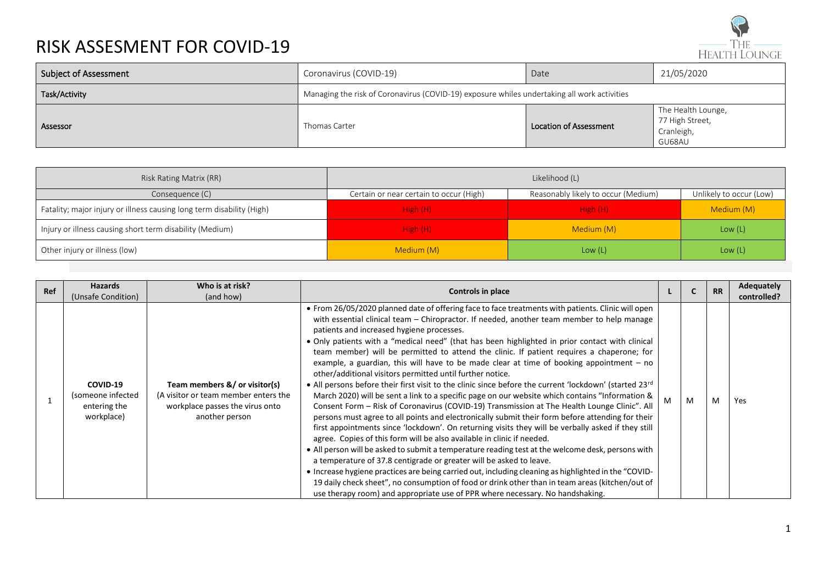

| <b>Subject of Assessment</b> | Coronavirus (COVID-19)                                                                      | Date                   | 21/05/2020                                                    |  |  |  |  |
|------------------------------|---------------------------------------------------------------------------------------------|------------------------|---------------------------------------------------------------|--|--|--|--|
| Task/Activity                | Managing the risk of Coronavirus (COVID-19) exposure whiles undertaking all work activities |                        |                                                               |  |  |  |  |
| Assessor                     | Thomas Carter                                                                               | Location of Assessment | The Health Lounge,<br>77 High Street,<br>Cranleigh,<br>GU68AU |  |  |  |  |

| Risk Rating Matrix (RR)                                               | Likelihood (L)                          |                                     |                         |  |  |
|-----------------------------------------------------------------------|-----------------------------------------|-------------------------------------|-------------------------|--|--|
| Consequence (C)                                                       | Certain or near certain to occur (High) | Reasonably likely to occur (Medium) | Unlikely to occur (Low) |  |  |
| Fatality; major injury or illness causing long term disability (High) | High (H)                                | High (H)                            | Medium (M)              |  |  |
| Injury or illness causing short term disability (Medium)              | High (H)                                | Medium (M)                          | Low $(L)$               |  |  |
| Other injury or illness (low)                                         | Medium (M)                              | Low $(L)$                           | Low $(L)$               |  |  |

| Ref | <b>Hazards</b><br>(Unsafe Condition)                        | Who is at risk?<br>(and how)                                                                                               | <b>Controls in place</b>                                                                                                                                                                                                                                                                                                                                                                                                                                                                                                                                                                                                                                                                                                                                                                                                                                                                                                                                                                                                                                                                                                                                                                                                                                                                                                                                                                                                                                                                                                                                                                                                                                                          |   | <b>RR</b> | <b>Adequately</b><br>controlled? |
|-----|-------------------------------------------------------------|----------------------------------------------------------------------------------------------------------------------------|-----------------------------------------------------------------------------------------------------------------------------------------------------------------------------------------------------------------------------------------------------------------------------------------------------------------------------------------------------------------------------------------------------------------------------------------------------------------------------------------------------------------------------------------------------------------------------------------------------------------------------------------------------------------------------------------------------------------------------------------------------------------------------------------------------------------------------------------------------------------------------------------------------------------------------------------------------------------------------------------------------------------------------------------------------------------------------------------------------------------------------------------------------------------------------------------------------------------------------------------------------------------------------------------------------------------------------------------------------------------------------------------------------------------------------------------------------------------------------------------------------------------------------------------------------------------------------------------------------------------------------------------------------------------------------------|---|-----------|----------------------------------|
|     | COVID-19<br>(someone infected<br>entering the<br>workplace) | Team members &/ or visitor(s)<br>(A visitor or team member enters the<br>workplace passes the virus onto<br>another person | • From 26/05/2020 planned date of offering face to face treatments with patients. Clinic will open<br>with essential clinical team – Chiropractor. If needed, another team member to help manage<br>patients and increased hygiene processes.<br>• Only patients with a "medical need" (that has been highlighted in prior contact with clinical<br>team member) will be permitted to attend the clinic. If patient requires a chaperone; for<br>example, a guardian, this will have to be made clear at time of booking appointment $-$ no<br>other/additional visitors permitted until further notice.<br>• All persons before their first visit to the clinic since before the current 'lockdown' (started 23rd<br>March 2020) will be sent a link to a specific page on our website which contains "Information &<br>Consent Form - Risk of Coronavirus (COVID-19) Transmission at The Health Lounge Clinic". All<br>persons must agree to all points and electronically submit their form before attending for their<br>first appointments since 'lockdown'. On returning visits they will be verbally asked if they still<br>agree. Copies of this form will be also available in clinic if needed.<br>• All person will be asked to submit a temperature reading test at the welcome desk, persons with<br>a temperature of 37.8 centigrade or greater will be asked to leave.<br>• Increase hygiene practices are being carried out, including cleaning as highlighted in the "COVID-<br>19 daily check sheet", no consumption of food or drink other than in team areas (kitchen/out of<br>use therapy room) and appropriate use of PPR where necessary. No handshaking. | M | M         | Yes                              |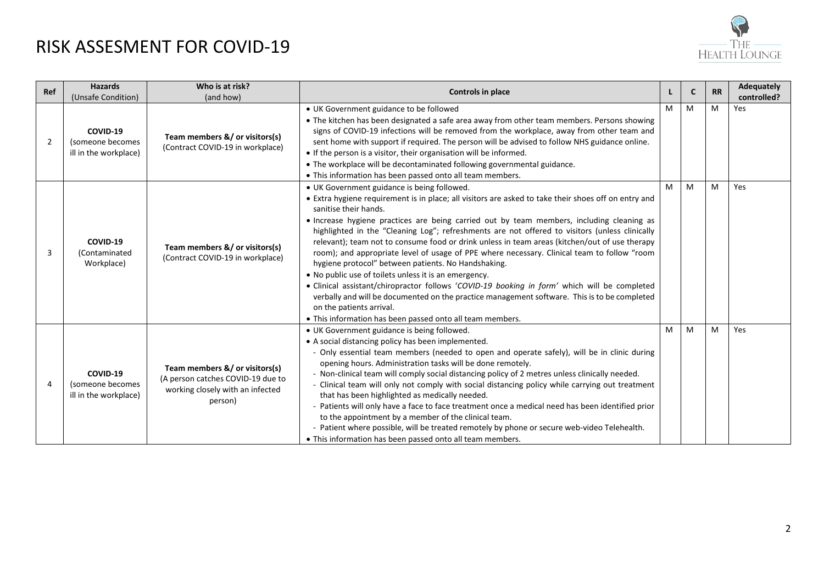

| Ref | <b>Hazards</b><br>(Unsafe Condition)                  | Who is at risk?<br>(and how)                                                                                                                                                                                                                                                                                                                                                                                                                                                                                                                                                                                                                                                                                                                                                                                                                                                                                                                                        | Controls in place                                                                                                                                                                                                                                                                                                                                                                                                                                                                                                                                                                                                                                                                                                                                                                                                                                                                                                                                                                         |   | $\mathbf{C}$ | <b>RR</b> | <b>Adequately</b><br>controlled? |
|-----|-------------------------------------------------------|---------------------------------------------------------------------------------------------------------------------------------------------------------------------------------------------------------------------------------------------------------------------------------------------------------------------------------------------------------------------------------------------------------------------------------------------------------------------------------------------------------------------------------------------------------------------------------------------------------------------------------------------------------------------------------------------------------------------------------------------------------------------------------------------------------------------------------------------------------------------------------------------------------------------------------------------------------------------|-------------------------------------------------------------------------------------------------------------------------------------------------------------------------------------------------------------------------------------------------------------------------------------------------------------------------------------------------------------------------------------------------------------------------------------------------------------------------------------------------------------------------------------------------------------------------------------------------------------------------------------------------------------------------------------------------------------------------------------------------------------------------------------------------------------------------------------------------------------------------------------------------------------------------------------------------------------------------------------------|---|--------------|-----------|----------------------------------|
| 2   | COVID-19<br>(someone becomes<br>ill in the workplace) | Team members &/ or visitors(s)<br>(Contract COVID-19 in workplace)                                                                                                                                                                                                                                                                                                                                                                                                                                                                                                                                                                                                                                                                                                                                                                                                                                                                                                  | • UK Government guidance to be followed<br>• The kitchen has been designated a safe area away from other team members. Persons showing<br>signs of COVID-19 infections will be removed from the workplace, away from other team and<br>sent home with support if required. The person will be advised to follow NHS guidance online.<br>• If the person is a visitor, their organisation will be informed.<br>• The workplace will be decontaminated following governmental guidance.<br>• This information has been passed onto all team members.                                                                                                                                                                                                                                                                                                                                                                                                                                        | м | M            | M         | Yes                              |
| 3   | COVID-19<br>(Contaminated<br>Workplace)               | Team members &/ or visitors(s)<br>(Contract COVID-19 in workplace)                                                                                                                                                                                                                                                                                                                                                                                                                                                                                                                                                                                                                                                                                                                                                                                                                                                                                                  | • UK Government guidance is being followed.<br>M<br>• Extra hygiene requirement is in place; all visitors are asked to take their shoes off on entry and<br>sanitise their hands.<br>• Increase hygiene practices are being carried out by team members, including cleaning as<br>highlighted in the "Cleaning Log"; refreshments are not offered to visitors (unless clinically<br>relevant); team not to consume food or drink unless in team areas (kitchen/out of use therapy<br>room); and appropriate level of usage of PPE where necessary. Clinical team to follow "room<br>hygiene protocol" between patients. No Handshaking.<br>• No public use of toilets unless it is an emergency.<br>• Clinical assistant/chiropractor follows 'COVID-19 booking in form' which will be completed<br>verbally and will be documented on the practice management software. This is to be completed<br>on the patients arrival.<br>. This information has been passed onto all team members. |   | M            | M         | Yes                              |
| 4   | COVID-19<br>(someone becomes<br>ill in the workplace) | • UK Government guidance is being followed.<br>• A social distancing policy has been implemented.<br>- Only essential team members (needed to open and operate safely), will be in clinic during<br>opening hours. Administration tasks will be done remotely.<br>Team members &/ or visitors(s)<br>- Non-clinical team will comply social distancing policy of 2 metres unless clinically needed.<br>(A person catches COVID-19 due to<br>- Clinical team will only not comply with social distancing policy while carrying out treatment<br>working closely with an infected<br>that has been highlighted as medically needed.<br>person)<br>- Patients will only have a face to face treatment once a medical need has been identified prior<br>to the appointment by a member of the clinical team.<br>- Patient where possible, will be treated remotely by phone or secure web-video Telehealth.<br>• This information has been passed onto all team members. |                                                                                                                                                                                                                                                                                                                                                                                                                                                                                                                                                                                                                                                                                                                                                                                                                                                                                                                                                                                           | M | M            | M         | Yes                              |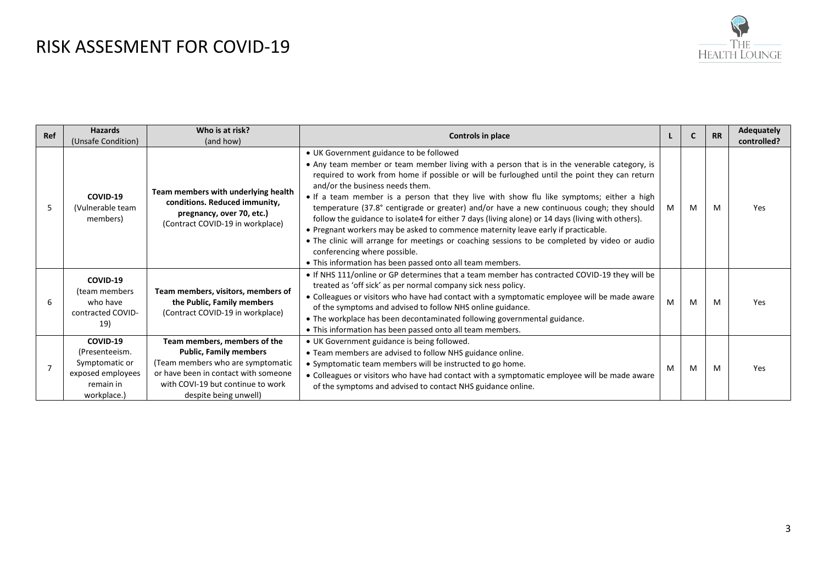

| Ref | <b>Hazards</b><br>(Unsafe Condition)                                                          | Who is at risk?<br>(and how)                                                                                                                                                                             | Controls in place                                                                                                                                                                                                                                                                                                                                                                                                                                                                                                                                                                                                                                                                                                                                                                                                                                          |   | C | <b>RR</b> | <b>Adequately</b><br>controlled? |
|-----|-----------------------------------------------------------------------------------------------|----------------------------------------------------------------------------------------------------------------------------------------------------------------------------------------------------------|------------------------------------------------------------------------------------------------------------------------------------------------------------------------------------------------------------------------------------------------------------------------------------------------------------------------------------------------------------------------------------------------------------------------------------------------------------------------------------------------------------------------------------------------------------------------------------------------------------------------------------------------------------------------------------------------------------------------------------------------------------------------------------------------------------------------------------------------------------|---|---|-----------|----------------------------------|
| 5   | COVID-19<br>(Vulnerable team<br>members)                                                      | Team members with underlying health<br>conditions. Reduced immunity,<br>pregnancy, over 70, etc.)<br>(Contract COVID-19 in workplace)                                                                    | • UK Government guidance to be followed<br>• Any team member or team member living with a person that is in the venerable category, is<br>required to work from home if possible or will be furloughed until the point they can return<br>and/or the business needs them.<br>• If a team member is a person that they live with show flu like symptoms; either a high<br>temperature (37.8° centigrade or greater) and/or have a new continuous cough; they should<br>follow the guidance to isolate4 for either 7 days (living alone) or 14 days (living with others).<br>. Pregnant workers may be asked to commence maternity leave early if practicable.<br>• The clinic will arrange for meetings or coaching sessions to be completed by video or audio<br>conferencing where possible.<br>• This information has been passed onto all team members. | M | M | M         | <b>Yes</b>                       |
| 6   | COVID-19<br>(team members<br>who have<br>contracted COVID-<br>19)                             | Team members, visitors, members of<br>the Public, Family members<br>(Contract COVID-19 in workplace)                                                                                                     | . If NHS 111/online or GP determines that a team member has contracted COVID-19 they will be<br>treated as 'off sick' as per normal company sick ness policy.<br>• Colleagues or visitors who have had contact with a symptomatic employee will be made aware<br>of the symptoms and advised to follow NHS online guidance.<br>• The workplace has been decontaminated following governmental guidance.<br>• This information has been passed onto all team members.                                                                                                                                                                                                                                                                                                                                                                                       | м | M | M         | <b>Yes</b>                       |
|     | COVID-19<br>(Presenteeism.<br>Symptomatic or<br>exposed employees<br>remain in<br>workplace.) | Team members, members of the<br><b>Public, Family members</b><br>(Team members who are symptomatic<br>or have been in contact with someone<br>with COVI-19 but continue to work<br>despite being unwell) | • UK Government guidance is being followed.<br>• Team members are advised to follow NHS guidance online.<br>• Symptomatic team members will be instructed to go home.<br>• Colleagues or visitors who have had contact with a symptomatic employee will be made aware<br>of the symptoms and advised to contact NHS guidance online.                                                                                                                                                                                                                                                                                                                                                                                                                                                                                                                       |   | M | M         | Yes                              |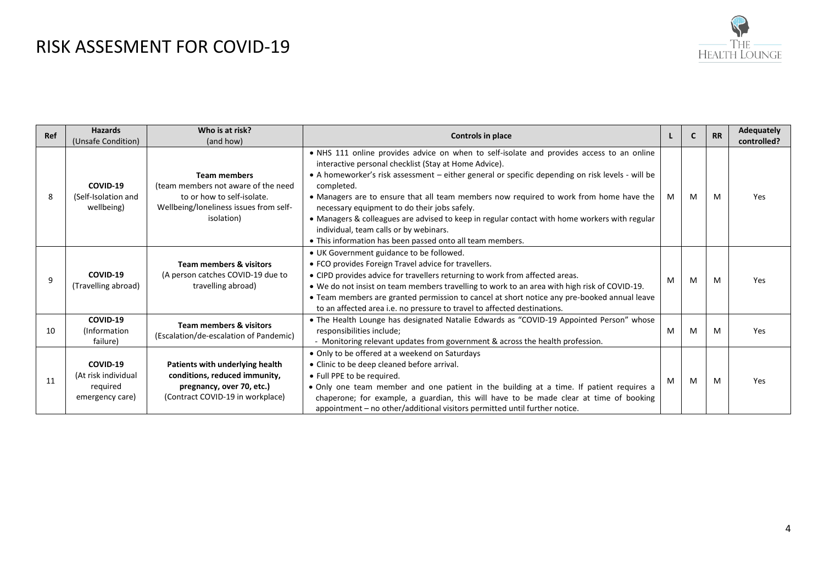

| Ref | <b>Hazards</b><br>(Unsafe Condition)                           | Who is at risk?<br>(and how)                                                                                                                     | Controls in place                                                                                                                                                                                                                                                                                                                                                                                                                                                                                                                                                                                                      |   | C | <b>RR</b> | <b>Adequately</b><br>controlled? |
|-----|----------------------------------------------------------------|--------------------------------------------------------------------------------------------------------------------------------------------------|------------------------------------------------------------------------------------------------------------------------------------------------------------------------------------------------------------------------------------------------------------------------------------------------------------------------------------------------------------------------------------------------------------------------------------------------------------------------------------------------------------------------------------------------------------------------------------------------------------------------|---|---|-----------|----------------------------------|
| 8   | COVID-19<br>(Self-Isolation and<br>wellbeing)                  | <b>Team members</b><br>(team members not aware of the need<br>to or how to self-isolate.<br>Wellbeing/loneliness issues from self-<br>isolation) | . NHS 111 online provides advice on when to self-isolate and provides access to an online<br>interactive personal checklist (Stay at Home Advice).<br>• A homeworker's risk assessment - either general or specific depending on risk levels - will be<br>completed.<br>• Managers are to ensure that all team members now required to work from home have the<br>necessary equipment to do their jobs safely.<br>• Managers & colleagues are advised to keep in regular contact with home workers with regular<br>individual, team calls or by webinars.<br>• This information has been passed onto all team members. | M | M | M         | Yes                              |
| 9   | COVID-19<br>(Travelling abroad)                                | <b>Team members &amp; visitors</b><br>(A person catches COVID-19 due to<br>travelling abroad)                                                    | • UK Government guidance to be followed.<br>• FCO provides Foreign Travel advice for travellers.<br>• CIPD provides advice for travellers returning to work from affected areas.<br>. We do not insist on team members travelling to work to an area with high risk of COVID-19.<br>• Team members are granted permission to cancel at short notice any pre-booked annual leave<br>to an affected area i.e. no pressure to travel to affected destinations.                                                                                                                                                            | M | M | M         | <b>Yes</b>                       |
| 10  | COVID-19<br>(Information)<br>failure)                          | <b>Team members &amp; visitors</b><br>(Escalation/de-escalation of Pandemic)                                                                     | . The Health Lounge has designated Natalie Edwards as "COVID-19 Appointed Person" whose<br>responsibilities include;<br>- Monitoring relevant updates from government & across the health profession.                                                                                                                                                                                                                                                                                                                                                                                                                  | M | M | M         | Yes                              |
| 11  | COVID-19<br>(At risk individual<br>required<br>emergency care) | Patients with underlying health<br>conditions, reduced immunity,<br>pregnancy, over 70, etc.)<br>(Contract COVID-19 in workplace)                | • Only to be offered at a weekend on Saturdays<br>• Clinic to be deep cleaned before arrival.<br>• Full PPE to be required.<br>• Only one team member and one patient in the building at a time. If patient requires a<br>chaperone; for example, a guardian, this will have to be made clear at time of booking<br>appointment - no other/additional visitors permitted until further notice.                                                                                                                                                                                                                         |   | M | M         | <b>Yes</b>                       |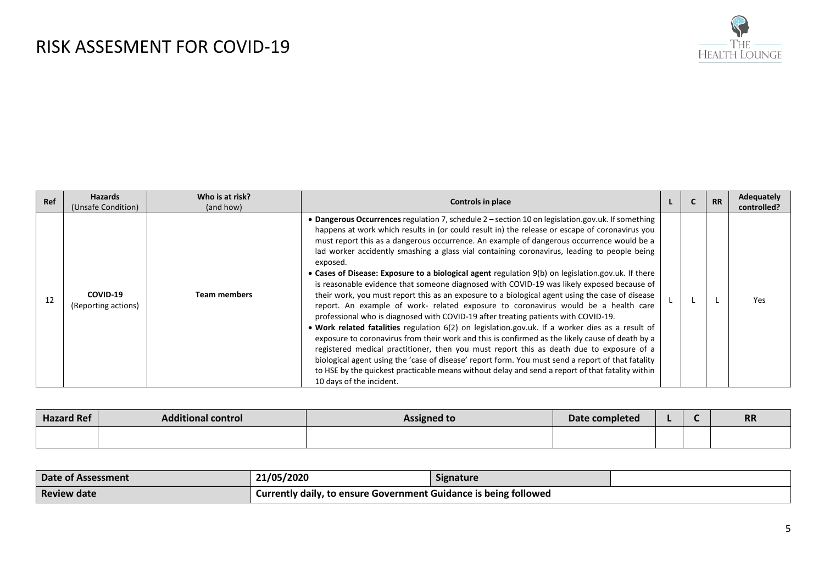

| Ref | <b>Hazards</b><br>(Unsafe Condition) | Who is at risk?<br>(and how) | <b>Controls in place</b>                                                                                                                                                                                                                                                                                                                                                                                                                                                                                                                                                                                                                                                                                                                                                                                                                                                                                                                                                                                                                                                                                                                                                                                                                                                                                                                                                                                                              |  | <b>RR</b> | Adequately<br>controlled? |
|-----|--------------------------------------|------------------------------|---------------------------------------------------------------------------------------------------------------------------------------------------------------------------------------------------------------------------------------------------------------------------------------------------------------------------------------------------------------------------------------------------------------------------------------------------------------------------------------------------------------------------------------------------------------------------------------------------------------------------------------------------------------------------------------------------------------------------------------------------------------------------------------------------------------------------------------------------------------------------------------------------------------------------------------------------------------------------------------------------------------------------------------------------------------------------------------------------------------------------------------------------------------------------------------------------------------------------------------------------------------------------------------------------------------------------------------------------------------------------------------------------------------------------------------|--|-----------|---------------------------|
| 12  | COVID-19<br>(Reporting actions)      | <b>Team members</b>          | • Dangerous Occurrences regulation 7, schedule 2 – section 10 on legislation.gov.uk. If something<br>happens at work which results in (or could result in) the release or escape of coronavirus you<br>must report this as a dangerous occurrence. An example of dangerous occurrence would be a<br>lad worker accidently smashing a glass vial containing coronavirus, leading to people being<br>exposed.<br>• Cases of Disease: Exposure to a biological agent regulation 9(b) on legislation.gov.uk. If there<br>is reasonable evidence that someone diagnosed with COVID-19 was likely exposed because of<br>their work, you must report this as an exposure to a biological agent using the case of disease<br>report. An example of work- related exposure to coronavirus would be a health care<br>professional who is diagnosed with COVID-19 after treating patients with COVID-19.<br>. Work related fatalities regulation 6(2) on legislation.gov.uk. If a worker dies as a result of<br>exposure to coronavirus from their work and this is confirmed as the likely cause of death by a<br>registered medical practitioner, then you must report this as death due to exposure of a<br>biological agent using the 'case of disease' report form. You must send a report of that fatality<br>to HSE by the quickest practicable means without delay and send a report of that fatality within<br>10 days of the incident. |  |           | Yes                       |

| <b>Hazard Ref</b> | <b>Additional control</b> | <b>Assigned to</b> | Date completed |  | <b>RR</b> |
|-------------------|---------------------------|--------------------|----------------|--|-----------|
|                   |                           |                    |                |  |           |

| Date of Assessment                                                                     | 21/05/2020 | <b>Signature</b> |  |  |
|----------------------------------------------------------------------------------------|------------|------------------|--|--|
| Currently daily, to ensure Government Guidance is being followed<br><b>Review date</b> |            |                  |  |  |